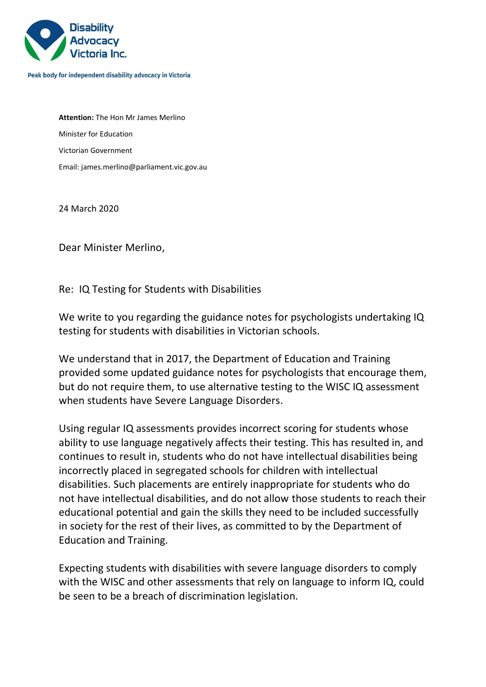

Peak body for independent disability advocacy in Victoria

**Attention:** The Hon Mr James Merlino Minister for Education Victorian Government Email[: james.merlino@parliament.vic.gov.au](mailto:james.merlino@parliament.vic.gov.au)

24 March 2020

Dear Minister Merlino,

Re: IQ Testing for Students with Disabilities

We write to you regarding the guidance notes for psychologists undertaking IQ testing for students with disabilities in Victorian schools.

We understand that in 2017, the Department of Education and Training provided some updated guidance notes for psychologists that encourage them, but do not require them, to use alternative testing to the WISC IQ assessment when students have Severe Language Disorders.

Using regular IQ assessments provides incorrect scoring for students whose ability to use language negatively affects their testing. This has resulted in, and continues to result in, students who do not have intellectual disabilities being incorrectly placed in segregated schools for children with intellectual disabilities. Such placements are entirely inappropriate for students who do not have intellectual disabilities, and do not allow those students to reach their educational potential and gain the skills they need to be included successfully in society for the rest of their lives, as committed to by the Department of Education and Training.

Expecting students with disabilities with severe language disorders to comply with the WISC and other assessments that rely on language to inform IQ, could be seen to be a breach of discrimination legislation.